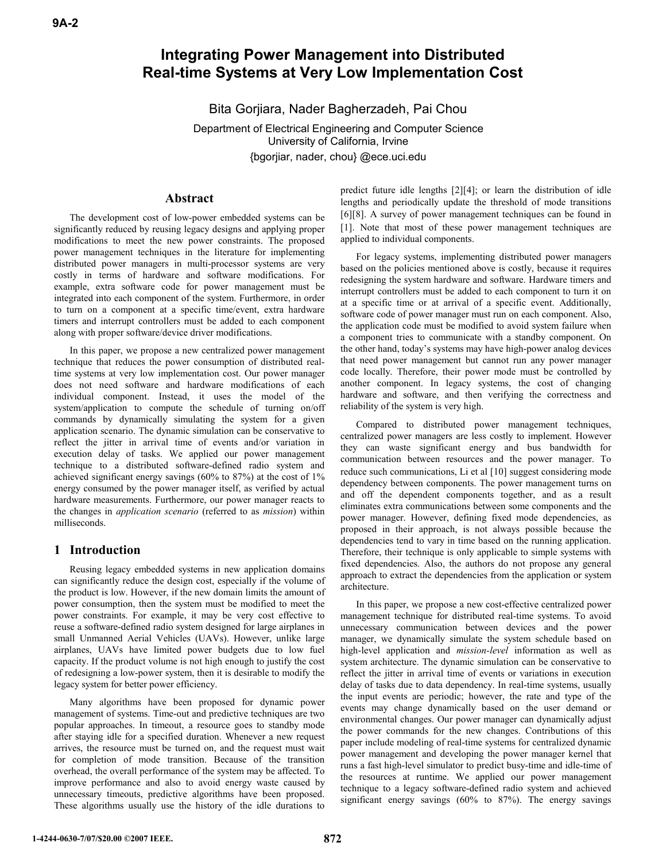# **Integrating Power Management into Distributed Real-time Systems at Very Low Implementation Cost**

Bita Gorjiara, Nader Bagherzadeh, Pai Chou

Department of Electrical Engineering and Computer Science University of California, Irvine {bgorjiar, nader, chou} @ece.uci.edu

# **Abstract**

The development cost of low-power embedded systems can be significantly reduced by reusing legacy designs and applying proper modifications to meet the new power constraints. The proposed power management techniques in the literature for implementing distributed power managers in multi-processor systems are very costly in terms of hardware and software modifications. For example, extra software code for power management must be integrated into each component of the system. Furthermore, in order to turn on a component at a specific time/event, extra hardware timers and interrupt controllers must be added to each component along with proper software/device driver modifications.

In this paper, we propose a new centralized power management technique that reduces the power consumption of distributed realtime systems at very low implementation cost. Our power manager does not need software and hardware modifications of each individual component. Instead, it uses the model of the system/application to compute the schedule of turning on/off commands by dynamically simulating the system for a given application scenario. The dynamic simulation can be conservative to reflect the jitter in arrival time of events and/or variation in execution delay of tasks. We applied our power management technique to a distributed software-defined radio system and achieved significant energy savings (60% to 87%) at the cost of 1% energy consumed by the power manager itself, as verified by actual hardware measurements. Furthermore, our power manager reacts to the changes in *application scenario* (referred to as *mission*) within milliseconds.

## **1 Introduction**

Reusing legacy embedded systems in new application domains can significantly reduce the design cost, especially if the volume of the product is low. However, if the new domain limits the amount of power consumption, then the system must be modified to meet the power constraints. For example, it may be very cost effective to reuse a software-defined radio system designed for large airplanes in small Unmanned Aerial Vehicles (UAVs). However, unlike large airplanes, UAVs have limited power budgets due to low fuel capacity. If the product volume is not high enough to justify the cost of redesigning a low-power system, then it is desirable to modify the legacy system for better power efficiency.

Many algorithms have been proposed for dynamic power management of systems. Time-out and predictive techniques are two popular approaches. In timeout, a resource goes to standby mode after staying idle for a specified duration. Whenever a new request arrives, the resource must be turned on, and the request must wait for completion of mode transition. Because of the transition overhead, the overall performance of the system may be affected. To improve performance and also to avoid energy waste caused by unnecessary timeouts, predictive algorithms have been proposed. These algorithms usually use the history of the idle durations to

predict future idle lengths [2][4]; or learn the distribution of idle lengths and periodically update the threshold of mode transitions [6][8]. A survey of power management techniques can be found in [1]. Note that most of these power management techniques are applied to individual components.

For legacy systems, implementing distributed power managers based on the policies mentioned above is costly, because it requires redesigning the system hardware and software. Hardware timers and interrupt controllers must be added to each component to turn it on at a specific time or at arrival of a specific event. Additionally, software code of power manager must run on each component. Also, the application code must be modified to avoid system failure when a component tries to communicate with a standby component. On the other hand, today's systems may have high-power analog devices that need power management but cannot run any power manager code locally. Therefore, their power mode must be controlled by another component. In legacy systems, the cost of changing hardware and software, and then verifying the correctness and reliability of the system is very high.

Compared to distributed power management techniques, centralized power managers are less costly to implement. However they can waste significant energy and bus bandwidth for communication between resources and the power manager. To reduce such communications, Li et al [10] suggest considering mode dependency between components. The power management turns on and off the dependent components together, and as a result eliminates extra communications between some components and the power manager. However, defining fixed mode dependencies, as proposed in their approach, is not always possible because the dependencies tend to vary in time based on the running application. Therefore, their technique is only applicable to simple systems with fixed dependencies. Also, the authors do not propose any general approach to extract the dependencies from the application or system architecture.

In this paper, we propose a new cost-effective centralized power management technique for distributed real-time systems. To avoid unnecessary communication between devices and the power manager, we dynamically simulate the system schedule based on high-level application and *mission-level* information as well as system architecture. The dynamic simulation can be conservative to reflect the jitter in arrival time of events or variations in execution delay of tasks due to data dependency. In real-time systems, usually the input events are periodic; however, the rate and type of the events may change dynamically based on the user demand or environmental changes. Our power manager can dynamically adjust the power commands for the new changes. Contributions of this paper include modeling of real-time systems for centralized dynamic power management and developing the power manager kernel that runs a fast high-level simulator to predict busy-time and idle-time of the resources at runtime. We applied our power management technique to a legacy software-defined radio system and achieved significant energy savings (60% to 87%). The energy savings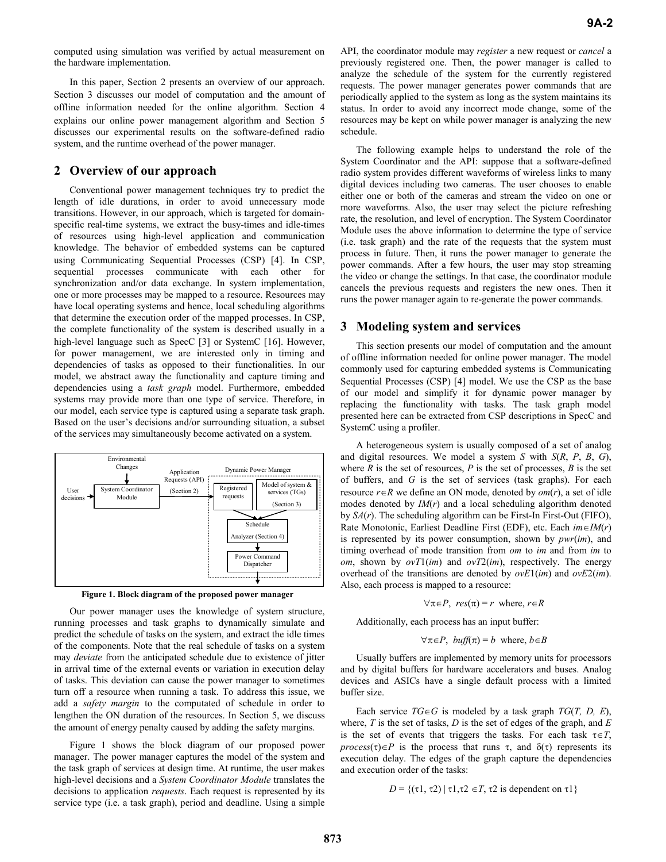computed using simulation was verified by actual measurement on the hardware implementation.

In this paper, Section 2 presents an overview of our approach. Section 3 discusses our model of computation and the amount of offline information needed for the online algorithm. Section 4 explains our online power management algorithm and Section 5 discusses our experimental results on the software-defined radio system, and the runtime overhead of the power manager.

## **2 Overview of our approach**

Conventional power management techniques try to predict the length of idle durations, in order to avoid unnecessary mode transitions. However, in our approach, which is targeted for domainspecific real-time systems, we extract the busy-times and idle-times of resources using high-level application and communication knowledge. The behavior of embedded systems can be captured using Communicating Sequential Processes (CSP) [4]. In CSP, sequential processes communicate with each other for synchronization and/or data exchange. In system implementation, one or more processes may be mapped to a resource. Resources may have local operating systems and hence, local scheduling algorithms that determine the execution order of the mapped processes. In CSP, the complete functionality of the system is described usually in a high-level language such as SpecC [3] or SystemC [16]. However, for power management, we are interested only in timing and dependencies of tasks as opposed to their functionalities. In our model, we abstract away the functionality and capture timing and dependencies using a *task graph* model. Furthermore, embedded systems may provide more than one type of service. Therefore, in our model, each service type is captured using a separate task graph. Based on the user's decisions and/or surrounding situation, a subset of the services may simultaneously become activated on a system.



**Figure 1. Block diagram of the proposed power manager**

Our power manager uses the knowledge of system structure, running processes and task graphs to dynamically simulate and predict the schedule of tasks on the system, and extract the idle times of the components. Note that the real schedule of tasks on a system may *deviate* from the anticipated schedule due to existence of jitter in arrival time of the external events or variation in execution delay of tasks. This deviation can cause the power manager to sometimes turn off a resource when running a task. To address this issue, we add a *safety margin* to the computated of schedule in order to lengthen the ON duration of the resources. In Section 5, we discuss the amount of energy penalty caused by adding the safety margins.

Figure 1 shows the block diagram of our proposed power manager. The power manager captures the model of the system and the task graph of services at design time. At runtime, the user makes high-level decisions and a *System Coordinator Module* translates the decisions to application *requests*. Each request is represented by its service type (i.e. a task graph), period and deadline. Using a simple API, the coordinator module may *register* a new request or *cancel* a previously registered one. Then, the power manager is called to analyze the schedule of the system for the currently registered requests. The power manager generates power commands that are periodically applied to the system as long as the system maintains its status. In order to avoid any incorrect mode change, some of the resources may be kept on while power manager is analyzing the new schedule.

The following example helps to understand the role of the System Coordinator and the API: suppose that a software-defined radio system provides different waveforms of wireless links to many digital devices including two cameras. The user chooses to enable either one or both of the cameras and stream the video on one or more waveforms. Also, the user may select the picture refreshing rate, the resolution, and level of encryption. The System Coordinator Module uses the above information to determine the type of service (i.e. task graph) and the rate of the requests that the system must process in future. Then, it runs the power manager to generate the power commands. After a few hours, the user may stop streaming the video or change the settings. In that case, the coordinator module cancels the previous requests and registers the new ones. Then it runs the power manager again to re-generate the power commands.

#### **3 Modeling system and services**

This section presents our model of computation and the amount of offline information needed for online power manager. The model commonly used for capturing embedded systems is Communicating Sequential Processes (CSP) [4] model. We use the CSP as the base of our model and simplify it for dynamic power manager by replacing the functionality with tasks. The task graph model presented here can be extracted from CSP descriptions in SpecC and SystemC using a profiler.

A heterogeneous system is usually composed of a set of analog and digital resources. We model a system *S* with *S*(*R*, *P*, *B*, *G*), where  $R$  is the set of resources,  $P$  is the set of processes,  $B$  is the set of buffers, and *G* is the set of services (task graphs). For each resource *r*∈*R* we define an ON mode, denoted by *om*(*r*), a set of idle modes denoted by *IM*(*r*) and a local scheduling algorithm denoted by *SA*(*r*). The scheduling algorithm can be First-In First-Out (FIFO), Rate Monotonic, Earliest Deadline First (EDF), etc. Each *im*∈*IM*(*r*) is represented by its power consumption, shown by *pwr*(*im*), and timing overhead of mode transition from *om* to *im* and from *im* to *om*, shown by *ovT*1(*im*) and *ovT*2(*im*), respectively. The energy overhead of the transitions are denoted by *ovE*1(*im*) and *ovE*2(*im*). Also, each process is mapped to a resource:

$$
\forall \pi \in P, \text{ res}(\pi) = r \text{ where, } r \in R
$$

Additionally, each process has an input buffer:

$$
\forall \pi \in P, \; buff(\pi) = b \; \text{where, } b \in B
$$

Usually buffers are implemented by memory units for processors and by digital buffers for hardware accelerators and buses. Analog devices and ASICs have a single default process with a limited buffer size.

Each service  $TG \in G$  is modeled by a task graph  $TG(T, D, E)$ , where, *T* is the set of tasks, *D* is the set of edges of the graph, and *E* is the set of events that triggers the tasks. For each task  $\tau \in T$ , *process*( $\tau$ )∈*P* is the process that runs  $\tau$ , and  $\delta(\tau)$  represents its execution delay. The edges of the graph capture the dependencies and execution order of the tasks:

$$
D = \{ (\tau 1, \tau 2) \mid \tau 1, \tau 2 \in T, \tau 2 \text{ is dependent on } \tau 1 \}
$$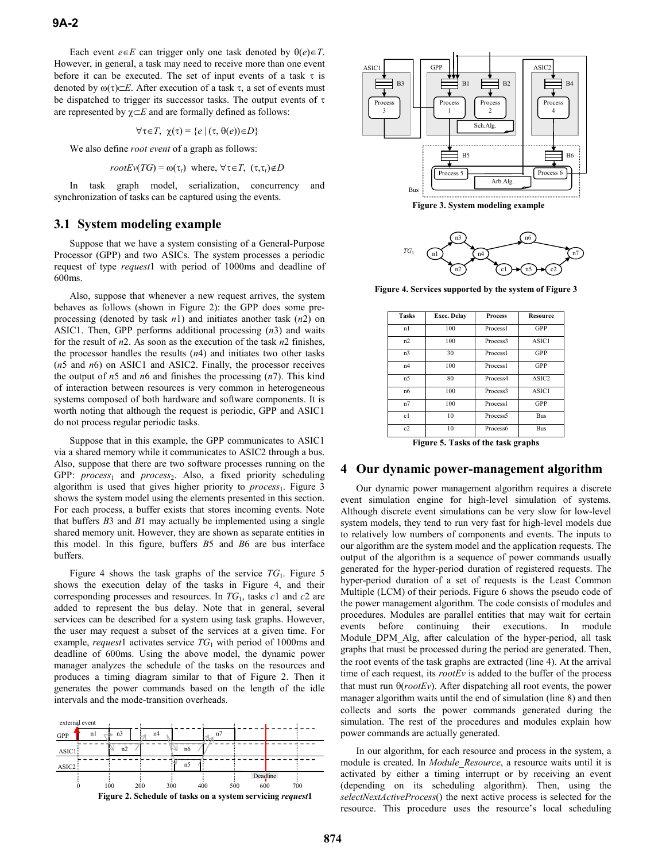Each event *e*∈*E* can trigger only one task denoted by  $\theta(e) \in T$ . However, in general, a task may need to receive more than one event before it can be executed. The set of input events of a task  $\tau$  is denoted by  $ω(τ)$ ⊂*E*. After execution of a task τ, a set of events must be dispatched to trigger its successor tasks. The output events of  $\tau$ are represented by χ⊂*E* and are formally defined as follows:

$$
\forall \tau \in T, \ \chi(\tau) = \{e \mid (\tau, \theta(e)) \in D\}
$$

We also define *root event* of a graph as follows:

$$
rootEv(TG) = \omega(\tau_r)
$$
 where,  $\forall \tau \in T$ ,  $(\tau, \tau_r) \notin D$ 

In task graph model, serialization, concurrency and synchronization of tasks can be captured using the events.

## **3.1 System modeling example**

Suppose that we have a system consisting of a General-Purpose Processor (GPP) and two ASICs. The system processes a periodic request of type *request*1 with period of 1000ms and deadline of 600ms.

Also, suppose that whenever a new request arrives, the system behaves as follows (shown in Figure 2): the GPP does some preprocessing (denoted by task *n*1) and initiates another task (*n*2) on ASIC1. Then, GPP performs additional processing (*n*3) and waits for the result of *n*2. As soon as the execution of the task *n*2 finishes, the processor handles the results (*n*4) and initiates two other tasks (*n*5 and *n*6) on ASIC1 and ASIC2. Finally, the processor receives the output of *n*5 and *n*6 and finishes the processing (*n*7). This kind of interaction between resources is very common in heterogeneous systems composed of both hardware and software components. It is worth noting that although the request is periodic, GPP and ASIC1 do not process regular periodic tasks.

Suppose that in this example, the GPP communicates to ASIC1 via a shared memory while it communicates to ASIC2 through a bus. Also, suppose that there are two software processes running on the GPP: *process*<sup>1</sup> and *process*<sup>2</sup>. Also, a fixed priority scheduling algorithm is used that gives higher priority to *process*<sup>1</sup>. Figure 3 shows the system model using the elements presented in this section. For each process, a buffer exists that stores incoming events. Note that buffers *B*3 and *B*1 may actually be implemented using a single shared memory unit. However, they are shown as separate entities in this model. In this figure, buffers *B*5 and *B*6 are bus interface buffers.

Figure 4 shows the task graphs of the service  $TG_1$ . Figure 5 shows the execution delay of the tasks in Figure 4, and their corresponding processes and resources. In *TG*1, tasks *c*1 and *c*2 are added to represent the bus delay. Note that in general, several services can be described for a system using task graphs. However, the user may request a subset of the services at a given time. For example, *request*1 activates service *TG*<sup>1</sup> with period of 1000ms and deadline of 600ms. Using the above model, the dynamic power manager analyzes the schedule of the tasks on the resources and produces a timing diagram similar to that of Figure 2. Then it generates the power commands based on the length of the idle intervals and the mode-transition overheads.







**Figure 3. System modeling example**



**Figure 4. Services supported by the system of Figure 3**

| <b>Tasks</b>   | Exec. Delay | <b>Process</b>       | Resource   |
|----------------|-------------|----------------------|------------|
| n1             | 100         | Process <sub>1</sub> | GPP        |
| n2             | 100         | Process3             | ASIC1      |
| n <sub>3</sub> | 30          | Process <sub>1</sub> | GPP        |
| n4             | 100         | Process <sub>1</sub> | GPP        |
| n <sub>5</sub> | 80          | Process4             | ASIC2      |
| n <sub>6</sub> | 100         | Process3             | ASIC1      |
| n7             | 100         | Process <sub>1</sub> | GPP        |
| c1             | 10          | Process5             | <b>Bus</b> |
| c2             | 10          | Process <sub>6</sub> | <b>Bus</b> |

**Figure 5. Tasks of the task graphs**

#### **4 Our dynamic power-management algorithm**

Our dynamic power management algorithm requires a discrete event simulation engine for high-level simulation of systems. Although discrete event simulations can be very slow for low-level system models, they tend to run very fast for high-level models due to relatively low numbers of components and events. The inputs to our algorithm are the system model and the application requests. The output of the algorithm is a sequence of power commands usually generated for the hyper-period duration of registered requests. The hyper-period duration of a set of requests is the Least Common Multiple (LCM) of their periods. Figure 6 shows the pseudo code of the power management algorithm. The code consists of modules and procedures. Modules are parallel entities that may wait for certain events before continuing their executions. In module Module DPM Alg, after calculation of the hyper-period, all task graphs that must be processed during the period are generated. Then, the root events of the task graphs are extracted (line 4). At the arrival time of each request, its *rootEv* is added to the buffer of the process that must run  $θ$ (*rootEv*). After dispatching all root events, the power manager algorithm waits until the end of simulation (line 8) and then collects and sorts the power commands generated during the simulation. The rest of the procedures and modules explain how power commands are actually generated.

In our algorithm, for each resource and process in the system, a module is created. In *Module\_Resource*, a resource waits until it is activated by either a timing interrupt or by receiving an event (depending on its scheduling algorithm). Then, using the *selectNextActiveProcess*() the next active process is selected for the resource. This procedure uses the resource's local scheduling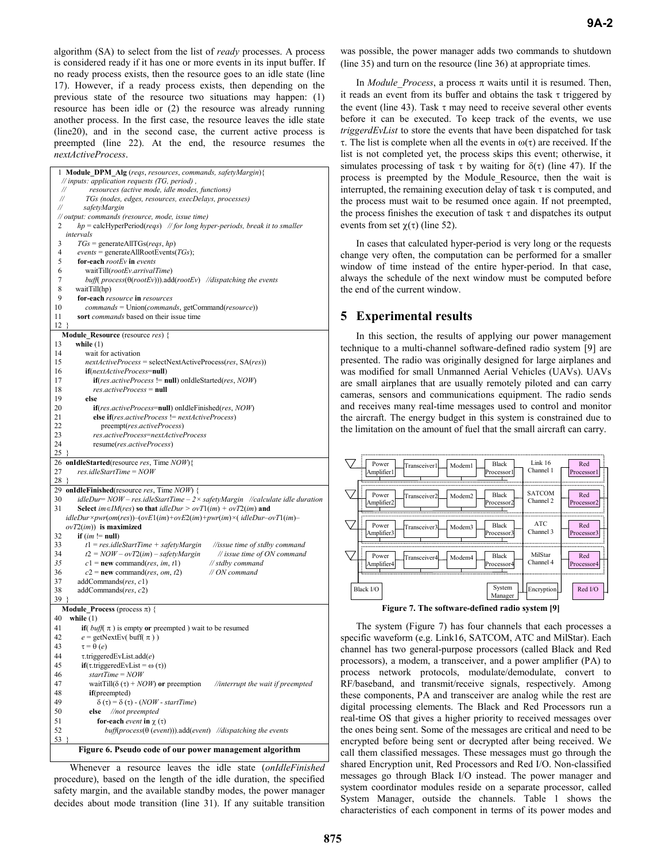algorithm (SA) to select from the list of *ready* processes. A process is considered ready if it has one or more events in its input buffer. If no ready process exists, then the resource goes to an idle state (line 17). However, if a ready process exists, then depending on the previous state of the resource two situations may happen: (1) resource has been idle or (2) the resource was already running another process. In the first case, the resource leaves the idle state (line20), and in the second case, the current active process is preempted (line 22). At the end, the resource resumes the *nextActiveProcess*.

|                                                  | 1 Module DPM Alg (reqs, resources, commands, safetyMargin){                                     |  |  |  |  |
|--------------------------------------------------|-------------------------------------------------------------------------------------------------|--|--|--|--|
| // inputs: application requests $(TG, period)$ , |                                                                                                 |  |  |  |  |
|                                                  | resources (active mode, idle modes, functions)<br>//                                            |  |  |  |  |
| //                                               | TGs (nodes, edges, resources, execDelays, processes)                                            |  |  |  |  |
| //                                               | safetyMargin                                                                                    |  |  |  |  |
|                                                  | // output: commands (resource, mode, issue time)                                                |  |  |  |  |
| 2                                                | $hp = \text{calcHyperPeriod}(reqs)$ // for long hyper-periods, break it to smaller              |  |  |  |  |
|                                                  | intervals                                                                                       |  |  |  |  |
| 3                                                | $TGs = generateAllTGs(reqs, hp)$                                                                |  |  |  |  |
| $\overline{4}$                                   | $events = generateAllRootEvents(TGs);$                                                          |  |  |  |  |
| 5                                                | for-each rootEv in events                                                                       |  |  |  |  |
| 6                                                | waitTill(rootEv.arrivalTime)                                                                    |  |  |  |  |
| 7                                                | buff( $\text{process}(\theta(\text{root}Ev))$ ).add( $\text{root}Ev$ ) //dispatching the events |  |  |  |  |
| 8                                                | waitTill(hp)                                                                                    |  |  |  |  |
| 9                                                | <b>for-each</b> resource in resources                                                           |  |  |  |  |
| 10                                               | $commands = Union(commands, getCommand(resource))$                                              |  |  |  |  |
| 11                                               | sort <i>commands</i> based on their issue time                                                  |  |  |  |  |
| $12 \;$                                          |                                                                                                 |  |  |  |  |
|                                                  | <b>Module Resource</b> (resource res) {                                                         |  |  |  |  |
|                                                  |                                                                                                 |  |  |  |  |
| 13<br>14                                         | while $(1)$                                                                                     |  |  |  |  |
|                                                  | wait for activation                                                                             |  |  |  |  |
| 15                                               | $nextActiveProcess = selectNextActiveProcess(res, SA(res)$                                      |  |  |  |  |
| 16                                               | if(nextActiveProcess=null)                                                                      |  |  |  |  |
| 17                                               | $if(res. active Process != null)$ onIdleStarted( <i>res</i> , <i>NOW</i> )                      |  |  |  |  |
| 18                                               | res.activeProcess = null                                                                        |  |  |  |  |
| 19                                               | else                                                                                            |  |  |  |  |
| 20                                               | <b>if</b> (res.activeProcess=null) onIdleFinished(res, NOW)                                     |  |  |  |  |
| 21                                               | else if( $res. active Process$ != $nextActive Process$ )                                        |  |  |  |  |
| 22                                               | preempt(res.activeProcess)                                                                      |  |  |  |  |
| 23                                               | res.activeProcess=nextActiveProcess                                                             |  |  |  |  |
| 24                                               | resume(res.activeProcess)                                                                       |  |  |  |  |
| 25 }                                             |                                                                                                 |  |  |  |  |
|                                                  | 26 onIdleStarted(resource res, Time NOW){                                                       |  |  |  |  |
| 27                                               | res.idleStartTime = NOW                                                                         |  |  |  |  |
| 28 }                                             |                                                                                                 |  |  |  |  |
|                                                  | 29 onIdleFinished(resource res, Time NOW) {                                                     |  |  |  |  |
| 30                                               | idleDur= $NOW - res.idleStartTime - 2 \times safetyMargin$ //calculate idle duration            |  |  |  |  |
| 31                                               | Select im $\in IM(res)$ so that idleDur > ovTl(im) + ovT2(im) and                               |  |  |  |  |
|                                                  | $idleDur \times pwr(om(res)) - (ovE1(im) + ovE2(im) + pwr(im) \times (idleDur - ovT1(im) -$     |  |  |  |  |
|                                                  | $ovT2(im)$ is maximized                                                                         |  |  |  |  |
| 32                                               | if $(im == null)$                                                                               |  |  |  |  |
| 33                                               | $t1 = res$ .idleStartTime + safetyMargin<br>//issue time of stdby command                       |  |  |  |  |
| 34                                               | $t2 = NOW - ovT2(im) - safetyMargin$<br>$\frac{1}{10}$ issue time of ON command                 |  |  |  |  |
| 35                                               | $c1 = new command(res, im, t1)$<br>// stdby command                                             |  |  |  |  |
| 36                                               | $c2 = new command(res, om, t2)$<br>// ON command                                                |  |  |  |  |
| 37                                               | addCommands(res, c1)                                                                            |  |  |  |  |
| 38                                               | addCommands(res, c2)                                                                            |  |  |  |  |
| 39 }                                             |                                                                                                 |  |  |  |  |
|                                                  | <b>Module_Process</b> (process $\pi$ ) {                                                        |  |  |  |  |
|                                                  |                                                                                                 |  |  |  |  |
| 40                                               | while $(1)$                                                                                     |  |  |  |  |
| 41                                               | <b>if</b> ( <i>buff</i> ( $\pi$ ) is empty or preempted) wait to be resumed                     |  |  |  |  |
| 42                                               | $e = getNextEv( \text{buff}(\pi))$                                                              |  |  |  |  |
| 43                                               | $\tau = \theta(e)$                                                                              |  |  |  |  |
| 44                                               | $\tau$ .triggeredEvList.add(e)                                                                  |  |  |  |  |
| 45                                               | $\mathbf{if}(\tau \text{.triggeredEvList} = \omega(\tau))$                                      |  |  |  |  |
| 46                                               | $startTime = NOW$                                                                               |  |  |  |  |
| 47                                               | waitTill( $\delta(\tau)$ + <i>NOW</i> ) or preemption<br>//interrupt the wait if preempted      |  |  |  |  |
| 48                                               | <b>if</b> (preempted)                                                                           |  |  |  |  |
| 49                                               | $\delta(\tau) = \delta(\tau) - (NOW - startTime)$                                               |  |  |  |  |
| 50                                               | //not preempted<br>else                                                                         |  |  |  |  |
| 51                                               | for-each event in $\chi(\tau)$                                                                  |  |  |  |  |
| 52                                               | $bufferocess(\theta (event))$ ).add(event) //dispatching the events                             |  |  |  |  |
| 53                                               |                                                                                                 |  |  |  |  |
|                                                  | Figure 6. Pseudo code of our power management algorithm                                         |  |  |  |  |
|                                                  |                                                                                                 |  |  |  |  |
|                                                  |                                                                                                 |  |  |  |  |

Whenever a resource leaves the idle state (*onIdleFinished* procedure), based on the length of the idle duration, the specified safety margin, and the available standby modes, the power manager decides about mode transition (line 31). If any suitable transition was possible, the power manager adds two commands to shutdown (line 35) and turn on the resource (line 36) at appropriate times.

In *Module Process*, a process  $\pi$  waits until it is resumed. Then, it reads an event from its buffer and obtains the task  $\tau$  triggered by the event (line 43). Task  $\tau$  may need to receive several other events before it can be executed. To keep track of the events, we use *triggerdEvList* to store the events that have been dispatched for task τ. The list is complete when all the events in ω(τ) are received. If the list is not completed yet, the process skips this event; otherwise, it simulates processing of task  $\tau$  by waiting for  $\delta(\tau)$  (line 47). If the process is preempted by the Module\_Resource, then the wait is interrupted, the remaining execution delay of task  $\tau$  is computed, and the process must wait to be resumed once again. If not preempted, the process finishes the execution of task  $\tau$  and dispatches its output events from set  $\gamma(\tau)$  (line 52).

In cases that calculated hyper-period is very long or the requests change very often, the computation can be performed for a smaller window of time instead of the entire hyper-period. In that case, always the schedule of the next window must be computed before the end of the current window.

## **5 Experimental results**

In this section, the results of applying our power management technique to a multi-channel software-defined radio system [9] are presented. The radio was originally designed for large airplanes and was modified for small Unmanned Aerial Vehicles (UAVs). UAVs are small airplanes that are usually remotely piloted and can carry cameras, sensors and communications equipment. The radio sends and receives many real-time messages used to control and monitor the aircraft. The energy budget in this system is constrained due to the limitation on the amount of fuel that the small aircraft can carry.



**Figure 7. The software-defined radio system [9]**

The system (Figure 7) has four channels that each processes a specific waveform (e.g. Link16, SATCOM, ATC and MilStar). Each channel has two general-purpose processors (called Black and Red processors), a modem, a transceiver, and a power amplifier (PA) to process network protocols, modulate/demodulate, convert to RF/baseband, and transmit/receive signals, respectively. Among these components, PA and transceiver are analog while the rest are digital processing elements. The Black and Red Processors run a real-time OS that gives a higher priority to received messages over the ones being sent. Some of the messages are critical and need to be encrypted before being sent or decrypted after being received. We call them classified messages. These messages must go through the shared Encryption unit, Red Processors and Red I/O. Non-classified messages go through Black I/O instead. The power manager and system coordinator modules reside on a separate processor, called System Manager, outside the channels. Table 1 shows the characteristics of each component in terms of its power modes and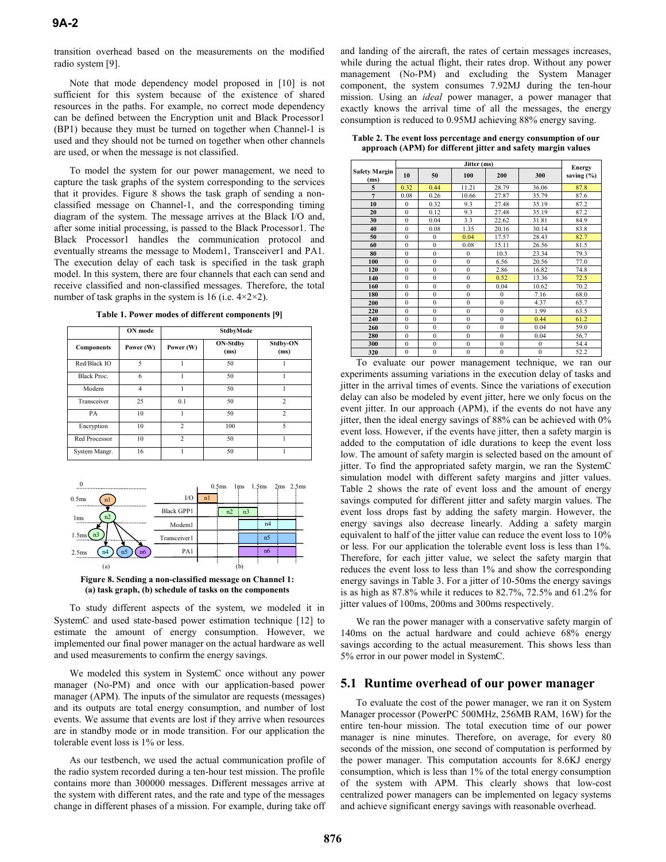transition overhead based on the measurements on the modified radio system [9].

Note that mode dependency model proposed in [10] is not sufficient for this system because of the existence of shared resources in the paths. For example, no correct mode dependency can be defined between the Encryption unit and Black Processor1 (BP1) because they must be turned on together when Channel-1 is used and they should not be turned on together when other channels are used, or when the message is not classified.

To model the system for our power management, we need to capture the task graphs of the system corresponding to the services that it provides. Figure 8 shows the task graph of sending a nonclassified message on Channel-1, and the corresponding timing diagram of the system. The message arrives at the Black I/O and, after some initial processing, is passed to the Black Processor1. The Black Processor1 handles the communication protocol and eventually streams the message to Modem1, Transceiver1 and PA1. The execution delay of each task is specified in the task graph model. In this system, there are four channels that each can send and receive classified and non-classified messages. Therefore, the total number of task graphs in the system is 16 (i.e.  $4 \times 2 \times 2$ ).

**Table 1. Power modes of different components [9]**

|                    | ON mode        | StdbyMode      |                  |                  |
|--------------------|----------------|----------------|------------------|------------------|
| <b>Components</b>  | Power (W)      | Power (W)      | ON-Stdby<br>(ms) | Stdby-ON<br>(ms) |
| Red/Black IO       | 5              |                | 50               |                  |
| <b>Black Proc.</b> | 6              |                | 50               |                  |
| Modem              | $\overline{4}$ |                | 50               |                  |
| Transceiver        | 25             | 0.1            | 50               | $\overline{c}$   |
| PA                 | 10             |                | 50               | $\overline{c}$   |
| Encryption         | 10             | $\overline{c}$ | 100              | 5                |
| Red Processor      | 10             | $\overline{c}$ | 50               |                  |
| System Mangr.      | 16             |                | 50               |                  |



**(a) task graph, (b) schedule of tasks on the components**

To study different aspects of the system, we modeled it in SystemC and used state-based power estimation technique [12] to estimate the amount of energy consumption. However, we implemented our final power manager on the actual hardware as well and used measurements to confirm the energy savings.

We modeled this system in SystemC once without any power manager (No-PM) and once with our application-based power manager (APM). The inputs of the simulator are requests (messages) and its outputs are total energy consumption, and number of lost events. We assume that events are lost if they arrive when resources are in standby mode or in mode transition. For our application the tolerable event loss is 1% or less.

As our testbench, we used the actual communication profile of the radio system recorded during a ten-hour test mission. The profile contains more than 300000 messages. Different messages arrive at the system with different rates, and the rate and type of the messages change in different phases of a mission. For example, during take off and landing of the aircraft, the rates of certain messages increases, while during the actual flight, their rates drop. Without any power management (No-PM) and excluding the System Manager component, the system consumes 7.92MJ during the ten-hour mission. Using an *ideal* power manager, a power manager that exactly knows the arrival time of all the messages, the energy consumption is reduced to 0.95MJ achieving 88% energy saving.

**Table 2. The event loss percentage and energy consumption of our approach (APM) for different jitter and safety margin values**

|                              | Jitter (ms)  |              |                | <b>Energy</b> |              |            |
|------------------------------|--------------|--------------|----------------|---------------|--------------|------------|
| <b>Safety Margin</b><br>(ms) | 10           | 50           | 100            | 200           | 300          | saving (%) |
| 5                            | 0.32         | 0.44         | 11.21          | 28.79         | 36.06        | 87.8       |
| $\overline{7}$               | 0.08         | 0.26         | 10.66          | 27.87         | 35.79        | 87.6       |
| 10                           | $\mathbf{0}$ | 0.32         | 9.3            | 27.48         | 35.19        | 87.2       |
| 20                           | $\theta$     | 0.12         | 9.3            | 27.48         | 35.19        | 87.2       |
| 30                           | $\theta$     | 0.04         | 3.3            | 22.62         | 31.81        | 84.9       |
| 40                           | $\mathbf{0}$ | 0.08         | 1.35           | 20.16         | 30.14        | 83.8       |
| 50                           | $\theta$     | $\theta$     | 0.04           | 17.57         | 28.43        | 82.7       |
| 60                           | $\theta$     | $\theta$     | 0.08           | 15.11         | 26.56        | 81.5       |
| 80                           | $\Omega$     | $\theta$     | $\theta$       | 10.5          | 23.34        | 79.3       |
| 100                          | $\mathbf{0}$ | $\theta$     | $\theta$       | 6.56          | 20.56        | 77.0       |
| 120                          | $\mathbf{0}$ | $\mathbf{0}$ | $\mathbf{0}$   | 2.86          | 16.82        | 74.8       |
| 140                          | $\mathbf{0}$ | $\mathbf{0}$ | $\overline{0}$ | 0.52          | 13.36        | 72.5       |
| 160                          | $\mathbf{0}$ | $\mathbf{0}$ | $\mathbf{0}$   | 0.04          | 10.62        | 70.2       |
| 180                          | $\mathbf{0}$ | $\mathbf{0}$ | $\mathbf{0}$   | $\mathbf{0}$  | 7.16         | 68.0       |
| 200                          | $\Omega$     | $\mathbf{0}$ | $\theta$       | $\mathbf{0}$  | 4.37         | 65.7       |
| 220                          | $\mathbf{0}$ | $\mathbf{0}$ | $\overline{0}$ | $\mathbf{0}$  | 1.99         | 63.5       |
| 240                          | $\mathbf{0}$ | $\mathbf{0}$ | $\overline{0}$ | $\mathbf{0}$  | 0.44         | 61.2       |
| 260                          | $\theta$     | $\theta$     | $\theta$       | $\theta$      | 0.04         | 59.0       |
| 280                          | $\Omega$     | $\mathbf{0}$ | $\overline{0}$ | $\mathbf{0}$  | 0.04         | 56.7       |
| 300                          | $\Omega$     | $\theta$     | $\theta$       | $\mathbf{0}$  | $\theta$     | 54.4       |
| 320                          | $\mathbf{0}$ | $\mathbf{0}$ | $\mathbf{0}$   | $\mathbf{0}$  | $\mathbf{0}$ | 52.2       |

To evaluate our power management technique, we ran our experiments assuming variations in the execution delay of tasks and jitter in the arrival times of events. Since the variations of execution delay can also be modeled by event jitter, here we only focus on the event jitter. In our approach (APM), if the events do not have any jitter, then the ideal energy savings of  $88\%$  can be achieved with  $0\%$ event loss. However, if the events have jitter, then a safety margin is added to the computation of idle durations to keep the event loss low. The amount of safety margin is selected based on the amount of jitter. To find the appropriated safety margin, we ran the SystemC simulation model with different safety margins and jitter values. Table 2 shows the rate of event loss and the amount of energy savings computed for different jitter and safety margin values. The event loss drops fast by adding the safety margin. However, the energy savings also decrease linearly. Adding a safety margin equivalent to half of the jitter value can reduce the event loss to 10% or less. For our application the tolerable event loss is less than 1%. Therefore, for each jitter value, we select the safety margin that reduces the event loss to less than 1% and show the corresponding energy savings in Table 3. For a jitter of 10-50ms the energy savings is as high as 87.8% while it reduces to 82.7%, 72.5% and 61.2% for jitter values of 100ms, 200ms and 300ms respectively.

We ran the power manager with a conservative safety margin of 140ms on the actual hardware and could achieve 68% energy savings according to the actual measurement. This shows less than 5% error in our power model in SystemC.

## **5.1 Runtime overhead of our power manager**

To evaluate the cost of the power manager, we ran it on System Manager processor (PowerPC 500MHz, 256MB RAM, 16W) for the entire ten-hour mission. The total execution time of our power manager is nine minutes. Therefore, on average, for every 80 seconds of the mission, one second of computation is performed by the power manager. This computation accounts for 8.6KJ energy consumption, which is less than 1% of the total energy consumption of the system with APM. This clearly shows that low-cost centralized power managers can be implemented on legacy systems and achieve significant energy savings with reasonable overhead.